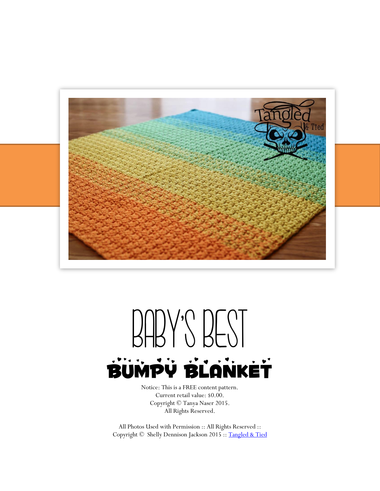

## BABY'S BEST BUMPY BLANKET

Notice: This is a FREE content pattern. Current retail value: \$0.00. Copyright © Tanya Naser 2015. All Rights Reserved.

All Photos Used with Permission :: All Rights Reserved :: Copyright © Shelly Dennison Jackson 2015 :: [Tangled & Tied](https://www.facebook.com/tangledtied)